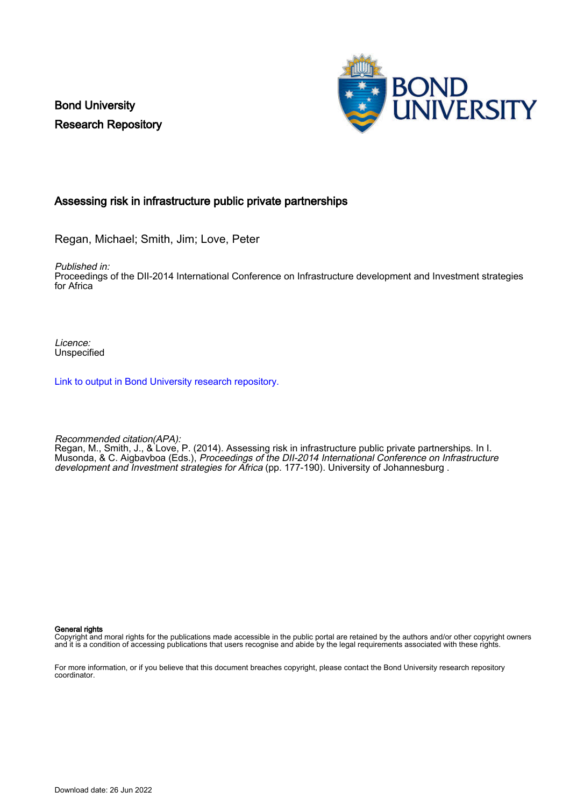Bond University Research Repository



# Assessing risk in infrastructure public private partnerships

Regan, Michael; Smith, Jim; Love, Peter

Published in:

Proceedings of the DII-2014 International Conference on Infrastructure development and Investment strategies for Africa

Licence: Unspecified

[Link to output in Bond University research repository.](https://research.bond.edu.au/en/publications/35d2ed51-8fd4-4a55-9e11-acf76f1570e3)

Recommended citation(APA):

Regan, M., Smith, J., & Love, P. (2014). Assessing risk in infrastructure public private partnerships. In I. Musonda, & C. Aigbavboa (Eds.), Proceedings of the DII-2014 International Conference on Infrastructure development and Investment strategies for Africa (pp. 177-190). University of Johannesburg.

General rights

Copyright and moral rights for the publications made accessible in the public portal are retained by the authors and/or other copyright owners and it is a condition of accessing publications that users recognise and abide by the legal requirements associated with these rights.

For more information, or if you believe that this document breaches copyright, please contact the Bond University research repository coordinator.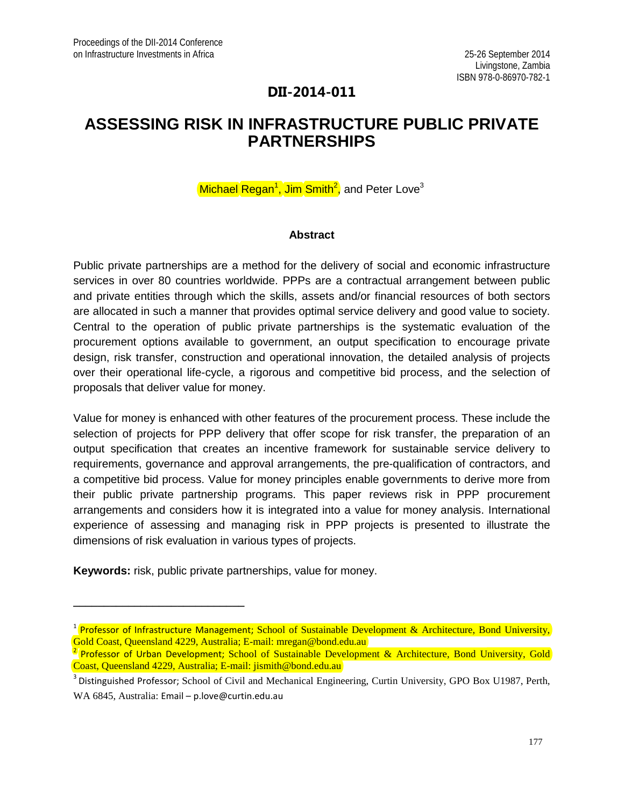# **DII-2014-011**

# **ASSESSING RISK IN INFRASTRUCTURE PUBLIC PRIVATE PARTNERSHIPS**

# Michael Regan<sup>1</sup>, Jim Smith<sup>2</sup>, and Peter Love<sup>3</sup>

#### **Abstract**

Public private partnerships are a method for the delivery of social and economic infrastructure services in over 80 countries worldwide. PPPs are a contractual arrangement between public and private entities through which the skills, assets and/or financial resources of both sectors are allocated in such a manner that provides optimal service delivery and good value to society. Central to the operation of public private partnerships is the systematic evaluation of the procurement options available to government, an output specification to encourage private design, risk transfer, construction and operational innovation, the detailed analysis of projects over their operational life-cycle, a rigorous and competitive bid process, and the selection of proposals that deliver value for money.

Value for money is enhanced with other features of the procurement process. These include the selection of projects for PPP delivery that offer scope for risk transfer, the preparation of an output specification that creates an incentive framework for sustainable service delivery to requirements, governance and approval arrangements, the pre-qualification of contractors, and a competitive bid process. Value for money principles enable governments to derive more from their public private partnership programs. This paper reviews risk in PPP procurement arrangements and considers how it is integrated into a value for money analysis. International experience of assessing and managing risk in PPP projects is presented to illustrate the dimensions of risk evaluation in various types of projects.

**Keywords:** risk, public private partnerships, value for money.

**\_\_\_\_\_\_\_\_\_\_\_\_\_\_\_\_\_\_\_\_\_\_\_\_\_\_\_\_**

<sup>&</sup>lt;sup>1</sup> Professor of Infrastructure Management; School of Sustainable Development & Architecture, Bond University, Gold Coast, Queensland 4229, Australia; E-mail: mregan@bond.edu.au <br><sup>2</sup> Professor of Urban Development; School of Sustainable Development & Architecture, Bond University, Gold

Coast, Queensland 4229, Australia; E-mail: jismith@bond.edu.au

<sup>&</sup>lt;sup>3</sup> Distinguished Professor; School of Civil and Mechanical Engineering, Curtin University, GPO Box U1987, Perth, WA 6845, Australia: Email – p.love@curtin.edu.au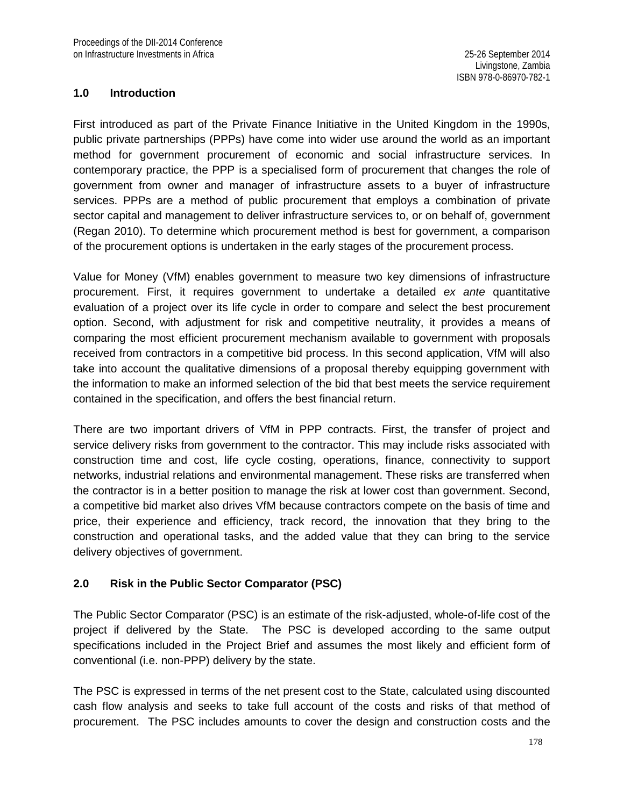#### **1.0 Introduction**

First introduced as part of the Private Finance Initiative in the United Kingdom in the 1990s, public private partnerships (PPPs) have come into wider use around the world as an important method for government procurement of economic and social infrastructure services. In contemporary practice, the PPP is a specialised form of procurement that changes the role of government from owner and manager of infrastructure assets to a buyer of infrastructure services. PPPs are a method of public procurement that employs a combination of private sector capital and management to deliver infrastructure services to, or on behalf of, government (Regan 2010). To determine which procurement method is best for government, a comparison of the procurement options is undertaken in the early stages of the procurement process.

Value for Money (VfM) enables government to measure two key dimensions of infrastructure procurement. First, it requires government to undertake a detailed *ex ante* quantitative evaluation of a project over its life cycle in order to compare and select the best procurement option. Second, with adjustment for risk and competitive neutrality, it provides a means of comparing the most efficient procurement mechanism available to government with proposals received from contractors in a competitive bid process. In this second application, VfM will also take into account the qualitative dimensions of a proposal thereby equipping government with the information to make an informed selection of the bid that best meets the service requirement contained in the specification, and offers the best financial return.

There are two important drivers of VfM in PPP contracts. First, the transfer of project and service delivery risks from government to the contractor. This may include risks associated with construction time and cost, life cycle costing, operations, finance, connectivity to support networks, industrial relations and environmental management. These risks are transferred when the contractor is in a better position to manage the risk at lower cost than government. Second, a competitive bid market also drives VfM because contractors compete on the basis of time and price, their experience and efficiency, track record, the innovation that they bring to the construction and operational tasks, and the added value that they can bring to the service delivery objectives of government.

#### **2.0 Risk in the Public Sector Comparator (PSC)**

The Public Sector Comparator (PSC) is an estimate of the risk-adjusted, whole-of-life cost of the project if delivered by the State. The PSC is developed according to the same output specifications included in the Project Brief and assumes the most likely and efficient form of conventional (i.e. non-PPP) delivery by the state.

The PSC is expressed in terms of the net present cost to the State, calculated using discounted cash flow analysis and seeks to take full account of the costs and risks of that method of procurement. The PSC includes amounts to cover the design and construction costs and the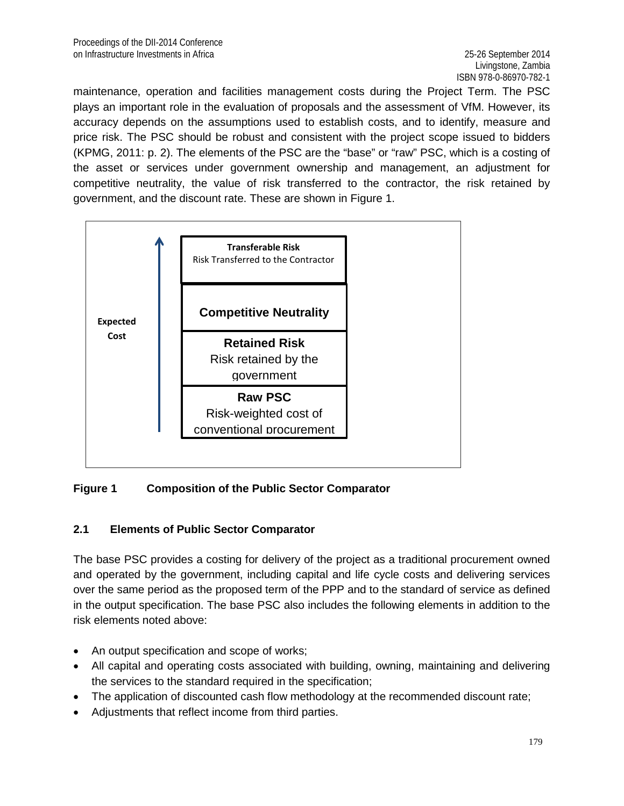maintenance, operation and facilities management costs during the Project Term. The PSC plays an important role in the evaluation of proposals and the assessment of VfM. However, its accuracy depends on the assumptions used to establish costs, and to identify, measure and price risk. The PSC should be robust and consistent with the project scope issued to bidders (KPMG, 2011: p. 2). The elements of the PSC are the "base" or "raw" PSC, which is a costing of the asset or services under government ownership and management, an adjustment for competitive neutrality, the value of risk transferred to the contractor, the risk retained by government, and the discount rate. These are shown in Figure 1.



### **Figure 1 Composition of the Public Sector Comparator**

### **2.1 Elements of Public Sector Comparator**

The base PSC provides a costing for delivery of the project as a traditional procurement owned and operated by the government, including capital and life cycle costs and delivering services over the same period as the proposed term of the PPP and to the standard of service as defined in the output specification. The base PSC also includes the following elements in addition to the risk elements noted above:

- An output specification and scope of works;
- All capital and operating costs associated with building, owning, maintaining and delivering the services to the standard required in the specification;
- The application of discounted cash flow methodology at the recommended discount rate;
- Adjustments that reflect income from third parties.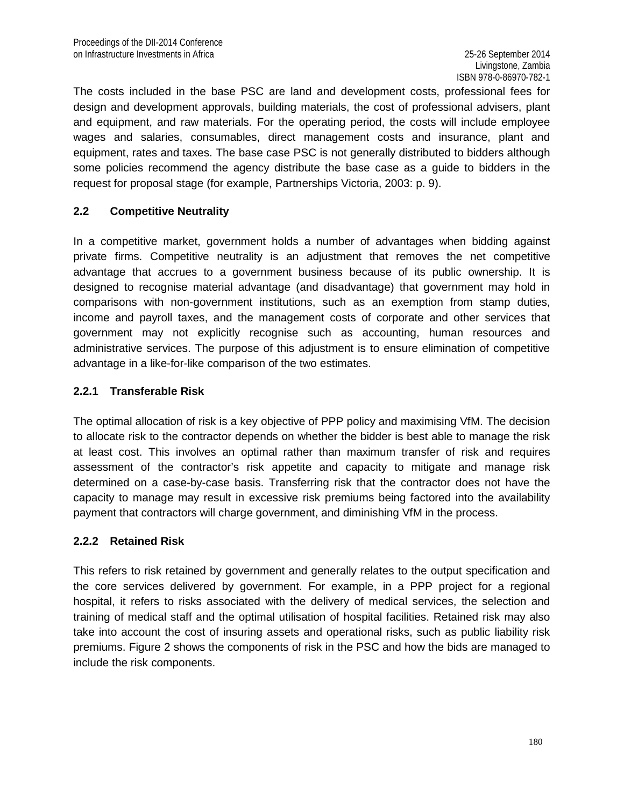The costs included in the base PSC are land and development costs, professional fees for design and development approvals, building materials, the cost of professional advisers, plant and equipment, and raw materials. For the operating period, the costs will include employee wages and salaries, consumables, direct management costs and insurance, plant and equipment, rates and taxes. The base case PSC is not generally distributed to bidders although some policies recommend the agency distribute the base case as a guide to bidders in the request for proposal stage (for example, Partnerships Victoria, 2003: p. 9).

#### **2.2 Competitive Neutrality**

In a competitive market, government holds a number of advantages when bidding against private firms. Competitive neutrality is an adjustment that removes the net competitive advantage that accrues to a government business because of its public ownership. It is designed to recognise material advantage (and disadvantage) that government may hold in comparisons with non-government institutions, such as an exemption from stamp duties, income and payroll taxes, and the management costs of corporate and other services that government may not explicitly recognise such as accounting, human resources and administrative services. The purpose of this adjustment is to ensure elimination of competitive advantage in a like-for-like comparison of the two estimates.

#### **2.2.1 Transferable Risk**

The optimal allocation of risk is a key objective of PPP policy and maximising VfM. The decision to allocate risk to the contractor depends on whether the bidder is best able to manage the risk at least cost. This involves an optimal rather than maximum transfer of risk and requires assessment of the contractor's risk appetite and capacity to mitigate and manage risk determined on a case-by-case basis. Transferring risk that the contractor does not have the capacity to manage may result in excessive risk premiums being factored into the availability payment that contractors will charge government, and diminishing VfM in the process.

### **2.2.2 Retained Risk**

This refers to risk retained by government and generally relates to the output specification and the core services delivered by government. For example, in a PPP project for a regional hospital, it refers to risks associated with the delivery of medical services, the selection and training of medical staff and the optimal utilisation of hospital facilities. Retained risk may also take into account the cost of insuring assets and operational risks, such as public liability risk premiums. Figure 2 shows the components of risk in the PSC and how the bids are managed to include the risk components.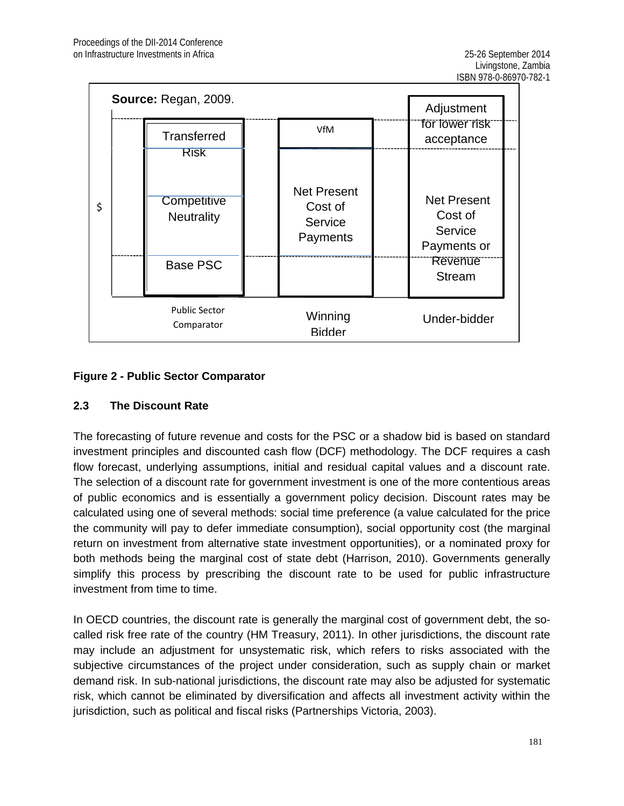| \$ |             | Source: Regan, 2009.<br>Transferred                 |  | VfM                                                  | Adjustment<br>for lower risk<br>acceptance |                                                                                            |  |
|----|-------------|-----------------------------------------------------|--|------------------------------------------------------|--------------------------------------------|--------------------------------------------------------------------------------------------|--|
|    | <b>Risk</b> | Competitive<br><b>Neutrality</b><br><b>Base PSC</b> |  | <b>Net Present</b><br>Cost of<br>Service<br>Payments |                                            | <b>Net Present</b><br>Cost of<br>Service<br>Payments or<br><b>Revenue</b><br><b>Stream</b> |  |
|    |             | <b>Public Sector</b><br>Comparator                  |  | Winning<br><b>Bidder</b>                             |                                            | Under-bidder                                                                               |  |

### **Figure 2 - Public Sector Comparator**

### **2.3 The Discount Rate**

The forecasting of future revenue and costs for the PSC or a shadow bid is based on standard investment principles and discounted cash flow (DCF) methodology. The DCF requires a cash flow forecast, underlying assumptions, initial and residual capital values and a discount rate. The selection of a discount rate for government investment is one of the more contentious areas of public economics and is essentially a government policy decision. Discount rates may be calculated using one of several methods: social time preference (a value calculated for the price the community will pay to defer immediate consumption), social opportunity cost (the marginal return on investment from alternative state investment opportunities), or a nominated proxy for both methods being the marginal cost of state debt (Harrison, 2010). Governments generally simplify this process by prescribing the discount rate to be used for public infrastructure investment from time to time.

In OECD countries, the discount rate is generally the marginal cost of government debt, the socalled risk free rate of the country (HM Treasury, 2011). In other jurisdictions, the discount rate may include an adjustment for unsystematic risk, which refers to risks associated with the subjective circumstances of the project under consideration, such as supply chain or market demand risk. In sub-national jurisdictions, the discount rate may also be adjusted for systematic risk, which cannot be eliminated by diversification and affects all investment activity within the jurisdiction, such as political and fiscal risks (Partnerships Victoria, 2003).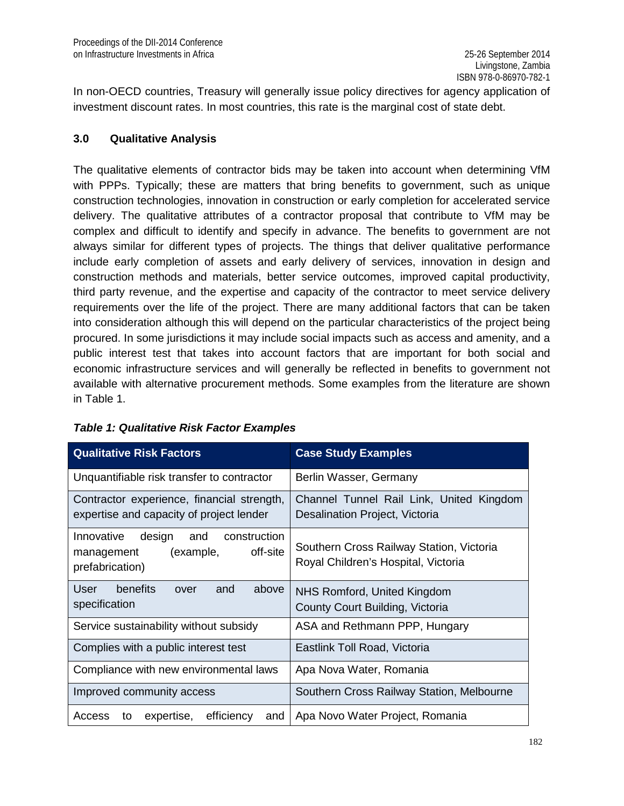In non-OECD countries, Treasury will generally issue policy directives for agency application of investment discount rates. In most countries, this rate is the marginal cost of state debt.

#### **3.0 Qualitative Analysis**

The qualitative elements of contractor bids may be taken into account when determining VfM with PPPs. Typically; these are matters that bring benefits to government, such as unique construction technologies, innovation in construction or early completion for accelerated service delivery. The qualitative attributes of a contractor proposal that contribute to VfM may be complex and difficult to identify and specify in advance. The benefits to government are not always similar for different types of projects. The things that deliver qualitative performance include early completion of assets and early delivery of services, innovation in design and construction methods and materials, better service outcomes, improved capital productivity, third party revenue, and the expertise and capacity of the contractor to meet service delivery requirements over the life of the project. There are many additional factors that can be taken into consideration although this will depend on the particular characteristics of the project being procured. In some jurisdictions it may include social impacts such as access and amenity, and a public interest test that takes into account factors that are important for both social and economic infrastructure services and will generally be reflected in benefits to government not available with alternative procurement methods. Some examples from the literature are shown in Table 1.

| <b>Qualitative Risk Factors</b>                                                                       | <b>Case Study Examples</b>                                                      |  |  |
|-------------------------------------------------------------------------------------------------------|---------------------------------------------------------------------------------|--|--|
| Unquantifiable risk transfer to contractor                                                            | Berlin Wasser, Germany                                                          |  |  |
| Contractor experience, financial strength,<br>expertise and capacity of project lender                | Channel Tunnel Rail Link, United Kingdom<br>Desalination Project, Victoria      |  |  |
| Innovative<br>design<br>construction<br>and<br>off-site<br>(example,<br>management<br>prefabrication) | Southern Cross Railway Station, Victoria<br>Royal Children's Hospital, Victoria |  |  |
| User<br>benefits<br>above<br>and<br>over<br>specification                                             | NHS Romford, United Kingdom<br>County Court Building, Victoria                  |  |  |
| Service sustainability without subsidy                                                                | ASA and Rethmann PPP, Hungary                                                   |  |  |
| Complies with a public interest test                                                                  | Eastlink Toll Road, Victoria                                                    |  |  |
| Compliance with new environmental laws                                                                | Apa Nova Water, Romania                                                         |  |  |
| Improved community access                                                                             | Southern Cross Railway Station, Melbourne                                       |  |  |
| efficiency<br>expertise,<br>Access<br>and<br>to                                                       | Apa Novo Water Project, Romania                                                 |  |  |

### *Table 1: Qualitative Risk Factor Examples*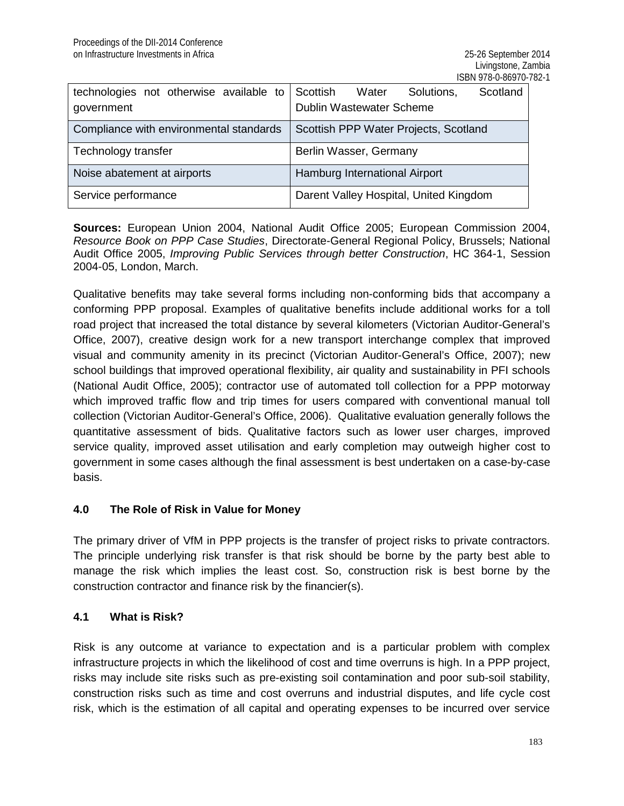| technologies not otherwise available to | Scottish<br>Scotland<br>Water<br>Solutions, |  |  |
|-----------------------------------------|---------------------------------------------|--|--|
| government                              | Dublin Wastewater Scheme                    |  |  |
| Compliance with environmental standards | Scottish PPP Water Projects, Scotland       |  |  |
| Technology transfer                     | Berlin Wasser, Germany                      |  |  |
| Noise abatement at airports             | Hamburg International Airport               |  |  |
| Service performance                     | Darent Valley Hospital, United Kingdom      |  |  |

**Sources:** European Union 2004, National Audit Office 2005; European Commission 2004, *Resource Book on PPP Case Studies*, Directorate-General Regional Policy, Brussels; National Audit Office 2005, *Improving Public Services through better Construction*, HC 364-1, Session 2004-05, London, March.

Qualitative benefits may take several forms including non-conforming bids that accompany a conforming PPP proposal. Examples of qualitative benefits include additional works for a toll road project that increased the total distance by several kilometers (Victorian Auditor-General's Office, 2007), creative design work for a new transport interchange complex that improved visual and community amenity in its precinct (Victorian Auditor-General's Office, 2007); new school buildings that improved operational flexibility, air quality and sustainability in PFI schools (National Audit Office, 2005); contractor use of automated toll collection for a PPP motorway which improved traffic flow and trip times for users compared with conventional manual toll collection (Victorian Auditor-General's Office, 2006). Qualitative evaluation generally follows the quantitative assessment of bids. Qualitative factors such as lower user charges, improved service quality, improved asset utilisation and early completion may outweigh higher cost to government in some cases although the final assessment is best undertaken on a case-by-case basis.

### **4.0 The Role of Risk in Value for Money**

The primary driver of VfM in PPP projects is the transfer of project risks to private contractors. The principle underlying risk transfer is that risk should be borne by the party best able to manage the risk which implies the least cost. So, construction risk is best borne by the construction contractor and finance risk by the financier(s).

### **4.1 What is Risk?**

Risk is any outcome at variance to expectation and is a particular problem with complex infrastructure projects in which the likelihood of cost and time overruns is high. In a PPP project, risks may include site risks such as pre-existing soil contamination and poor sub-soil stability, construction risks such as time and cost overruns and industrial disputes, and life cycle cost risk, which is the estimation of all capital and operating expenses to be incurred over service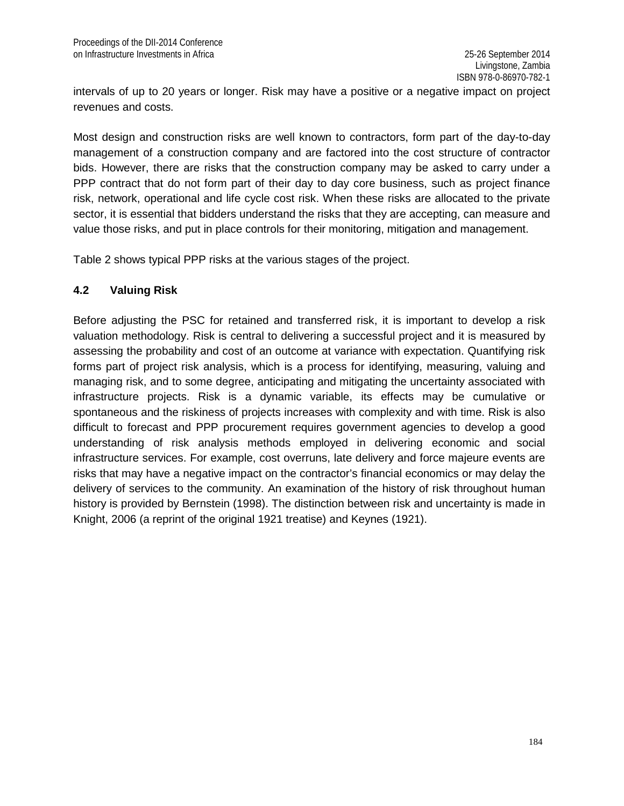intervals of up to 20 years or longer. Risk may have a positive or a negative impact on project revenues and costs.

Most design and construction risks are well known to contractors, form part of the day-to-day management of a construction company and are factored into the cost structure of contractor bids. However, there are risks that the construction company may be asked to carry under a PPP contract that do not form part of their day to day core business, such as project finance risk, network, operational and life cycle cost risk. When these risks are allocated to the private sector, it is essential that bidders understand the risks that they are accepting, can measure and value those risks, and put in place controls for their monitoring, mitigation and management.

Table 2 shows typical PPP risks at the various stages of the project.

#### **4.2 Valuing Risk**

Before adjusting the PSC for retained and transferred risk, it is important to develop a risk valuation methodology. Risk is central to delivering a successful project and it is measured by assessing the probability and cost of an outcome at variance with expectation. Quantifying risk forms part of project risk analysis, which is a process for identifying, measuring, valuing and managing risk, and to some degree, anticipating and mitigating the uncertainty associated with infrastructure projects. Risk is a dynamic variable, its effects may be cumulative or spontaneous and the riskiness of projects increases with complexity and with time. Risk is also difficult to forecast and PPP procurement requires government agencies to develop a good understanding of risk analysis methods employed in delivering economic and social infrastructure services. For example, cost overruns, late delivery and force majeure events are risks that may have a negative impact on the contractor's financial economics or may delay the delivery of services to the community. An examination of the history of risk throughout human history is provided by Bernstein (1998). The distinction between risk and uncertainty is made in Knight, 2006 (a reprint of the original 1921 treatise) and Keynes (1921).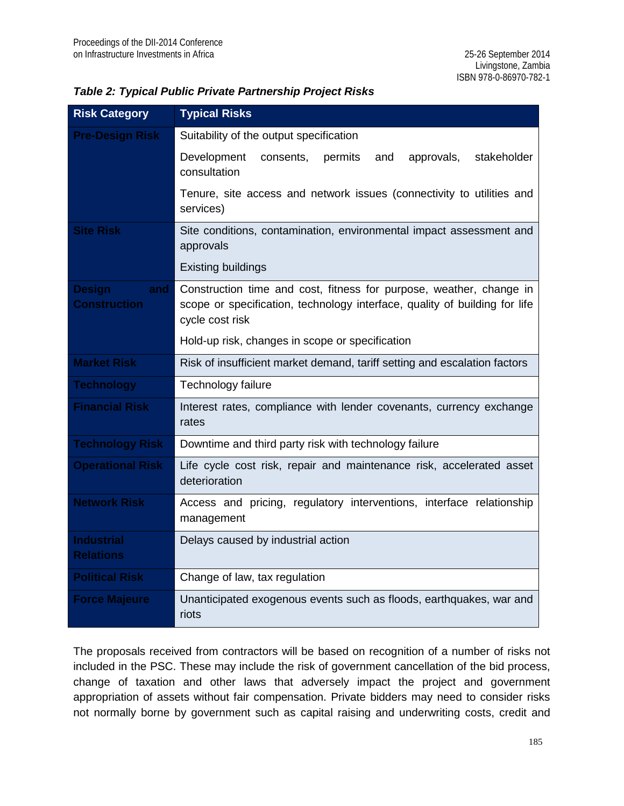| <b>Risk Category</b>                        | <b>Typical Risks</b>                                                                                                                                                 |  |  |  |
|---------------------------------------------|----------------------------------------------------------------------------------------------------------------------------------------------------------------------|--|--|--|
| <b>Pre-Design Risk</b>                      | Suitability of the output specification                                                                                                                              |  |  |  |
|                                             | Development<br>permits<br>and<br>approvals,<br>stakeholder<br>consents,<br>consultation                                                                              |  |  |  |
|                                             | Tenure, site access and network issues (connectivity to utilities and<br>services)                                                                                   |  |  |  |
| <b>Site Risk</b>                            | Site conditions, contamination, environmental impact assessment and<br>approvals                                                                                     |  |  |  |
|                                             | <b>Existing buildings</b>                                                                                                                                            |  |  |  |
| <b>Design</b><br>and<br><b>Construction</b> | Construction time and cost, fitness for purpose, weather, change in<br>scope or specification, technology interface, quality of building for life<br>cycle cost risk |  |  |  |
|                                             | Hold-up risk, changes in scope or specification                                                                                                                      |  |  |  |
| <b>Market Risk</b>                          | Risk of insufficient market demand, tariff setting and escalation factors                                                                                            |  |  |  |
| <b>Technology</b>                           | Technology failure                                                                                                                                                   |  |  |  |
| <b>Financial Risk</b>                       | Interest rates, compliance with lender covenants, currency exchange<br>rates                                                                                         |  |  |  |
| <b>Technology Risk</b>                      | Downtime and third party risk with technology failure                                                                                                                |  |  |  |
| <b>Operational Risk</b>                     | Life cycle cost risk, repair and maintenance risk, accelerated asset<br>deterioration                                                                                |  |  |  |
| <b>Network Risk</b>                         | Access and pricing, regulatory interventions, interface relationship<br>management                                                                                   |  |  |  |
| <b>Industrial</b><br><b>Relations</b>       | Delays caused by industrial action                                                                                                                                   |  |  |  |
| <b>Political Risk</b>                       | Change of law, tax regulation                                                                                                                                        |  |  |  |
| <b>Force Majeure</b>                        | Unanticipated exogenous events such as floods, earthquakes, war and<br>riots                                                                                         |  |  |  |

The proposals received from contractors will be based on recognition of a number of risks not included in the PSC. These may include the risk of government cancellation of the bid process, change of taxation and other laws that adversely impact the project and government appropriation of assets without fair compensation. Private bidders may need to consider risks not normally borne by government such as capital raising and underwriting costs, credit and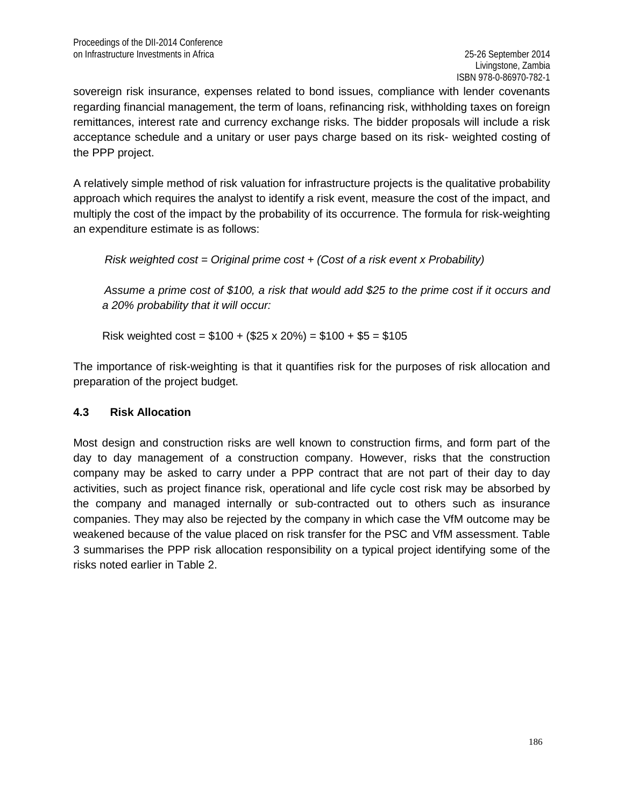sovereign risk insurance, expenses related to bond issues, compliance with lender covenants regarding financial management, the term of loans, refinancing risk, withholding taxes on foreign remittances, interest rate and currency exchange risks. The bidder proposals will include a risk acceptance schedule and a unitary or user pays charge based on its risk- weighted costing of the PPP project.

A relatively simple method of risk valuation for infrastructure projects is the qualitative probability approach which requires the analyst to identify a risk event, measure the cost of the impact, and multiply the cost of the impact by the probability of its occurrence. The formula for risk-weighting an expenditure estimate is as follows:

 *Risk weighted cost = Original prime cost + (Cost of a risk event x Probability)*

 *Assume a prime cost of \$100, a risk that would add \$25 to the prime cost if it occurs and a 20% probability that it will occur:*

Risk weighted  $\cos t = $100 + ($25 \times 20\%) = $100 + $5 = $105$ 

The importance of risk-weighting is that it quantifies risk for the purposes of risk allocation and preparation of the project budget.

### **4.3 Risk Allocation**

Most design and construction risks are well known to construction firms, and form part of the day to day management of a construction company. However, risks that the construction company may be asked to carry under a PPP contract that are not part of their day to day activities, such as project finance risk, operational and life cycle cost risk may be absorbed by the company and managed internally or sub-contracted out to others such as insurance companies. They may also be rejected by the company in which case the VfM outcome may be weakened because of the value placed on risk transfer for the PSC and VfM assessment. Table 3 summarises the PPP risk allocation responsibility on a typical project identifying some of the risks noted earlier in Table 2.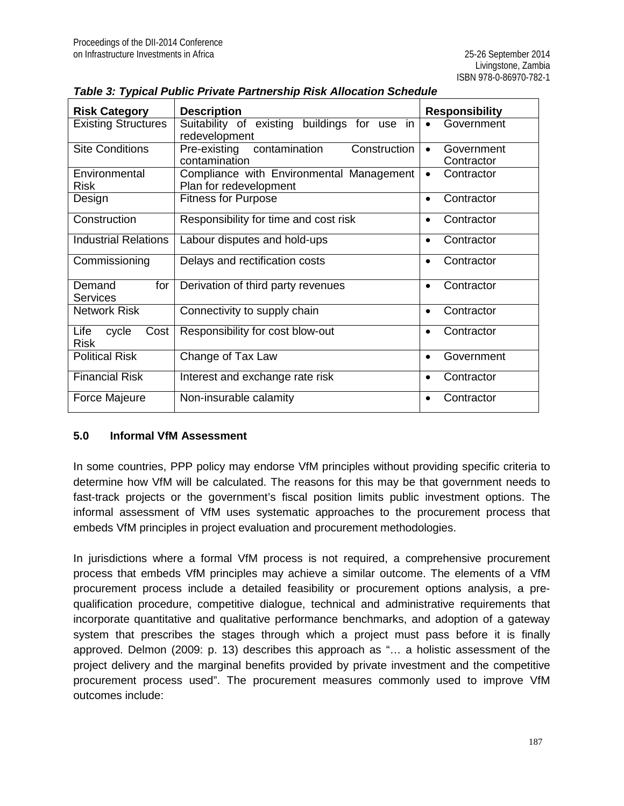| <b>Risk Category</b>                 | <b>Description</b>                                                 | <b>Responsibility</b>                 |
|--------------------------------------|--------------------------------------------------------------------|---------------------------------------|
| <b>Existing Structures</b>           | Suitability of existing buildings for use in<br>redevelopment      | Government                            |
| <b>Site Conditions</b>               | Pre-existing contamination<br>Construction<br>contamination        | Government<br>$\bullet$<br>Contractor |
| Environmental<br><b>Risk</b>         | Compliance with Environmental Management<br>Plan for redevelopment | Contractor<br>$\bullet$               |
| Design                               | <b>Fitness for Purpose</b>                                         | Contractor                            |
| Construction                         | Responsibility for time and cost risk                              | Contractor                            |
| <b>Industrial Relations</b>          | Labour disputes and hold-ups                                       | Contractor                            |
| Commissioning                        | Delays and rectification costs                                     | Contractor<br>$\bullet$               |
| Demand<br>for<br><b>Services</b>     | Derivation of third party revenues                                 | Contractor<br>$\bullet$               |
| <b>Network Risk</b>                  | Connectivity to supply chain                                       | Contractor<br>$\bullet$               |
| Life<br>cycle<br>Cost<br><b>Risk</b> | Responsibility for cost blow-out                                   | Contractor                            |
| <b>Political Risk</b>                | Change of Tax Law                                                  | Government<br>$\bullet$               |
| <b>Financial Risk</b>                | Interest and exchange rate risk                                    | Contractor<br>$\bullet$               |
| Force Majeure                        | Non-insurable calamity                                             | Contractor                            |

|  | Table 3: Typical Public Private Partnership Risk Allocation Schedule |  |
|--|----------------------------------------------------------------------|--|
|  |                                                                      |  |

#### **5.0 Informal VfM Assessment**

In some countries, PPP policy may endorse VfM principles without providing specific criteria to determine how VfM will be calculated. The reasons for this may be that government needs to fast-track projects or the government's fiscal position limits public investment options. The informal assessment of VfM uses systematic approaches to the procurement process that embeds VfM principles in project evaluation and procurement methodologies.

In jurisdictions where a formal VfM process is not required, a comprehensive procurement process that embeds VfM principles may achieve a similar outcome. The elements of a VfM procurement process include a detailed feasibility or procurement options analysis, a prequalification procedure, competitive dialogue, technical and administrative requirements that incorporate quantitative and qualitative performance benchmarks, and adoption of a gateway system that prescribes the stages through which a project must pass before it is finally approved. Delmon (2009: p. 13) describes this approach as "… a holistic assessment of the project delivery and the marginal benefits provided by private investment and the competitive procurement process used". The procurement measures commonly used to improve VfM outcomes include: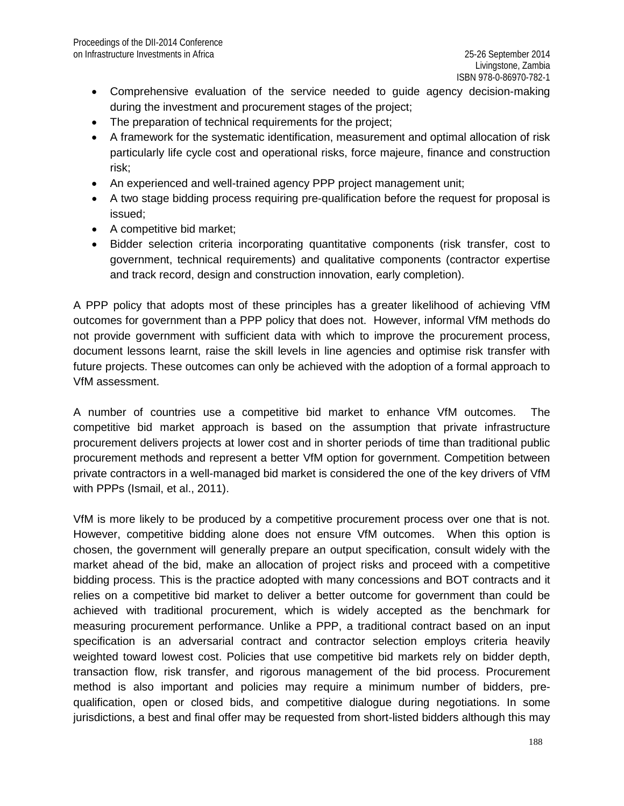- Comprehensive evaluation of the service needed to guide agency decision-making during the investment and procurement stages of the project;
- The preparation of technical requirements for the project;
- A framework for the systematic identification, measurement and optimal allocation of risk particularly life cycle cost and operational risks, force majeure, finance and construction risk;
- An experienced and well-trained agency PPP project management unit;
- A two stage bidding process requiring pre-qualification before the request for proposal is issued;
- A competitive bid market;
- Bidder selection criteria incorporating quantitative components (risk transfer, cost to government, technical requirements) and qualitative components (contractor expertise and track record, design and construction innovation, early completion).

A PPP policy that adopts most of these principles has a greater likelihood of achieving VfM outcomes for government than a PPP policy that does not. However, informal VfM methods do not provide government with sufficient data with which to improve the procurement process, document lessons learnt, raise the skill levels in line agencies and optimise risk transfer with future projects. These outcomes can only be achieved with the adoption of a formal approach to VfM assessment.

A number of countries use a competitive bid market to enhance VfM outcomes. The competitive bid market approach is based on the assumption that private infrastructure procurement delivers projects at lower cost and in shorter periods of time than traditional public procurement methods and represent a better VfM option for government. Competition between private contractors in a well-managed bid market is considered the one of the key drivers of VfM with PPPs (Ismail, et al., 2011).

VfM is more likely to be produced by a competitive procurement process over one that is not. However, competitive bidding alone does not ensure VfM outcomes. When this option is chosen, the government will generally prepare an output specification, consult widely with the market ahead of the bid, make an allocation of project risks and proceed with a competitive bidding process. This is the practice adopted with many concessions and BOT contracts and it relies on a competitive bid market to deliver a better outcome for government than could be achieved with traditional procurement, which is widely accepted as the benchmark for measuring procurement performance. Unlike a PPP, a traditional contract based on an input specification is an adversarial contract and contractor selection employs criteria heavily weighted toward lowest cost. Policies that use competitive bid markets rely on bidder depth, transaction flow, risk transfer, and rigorous management of the bid process. Procurement method is also important and policies may require a minimum number of bidders, prequalification, open or closed bids, and competitive dialogue during negotiations. In some jurisdictions, a best and final offer may be requested from short-listed bidders although this may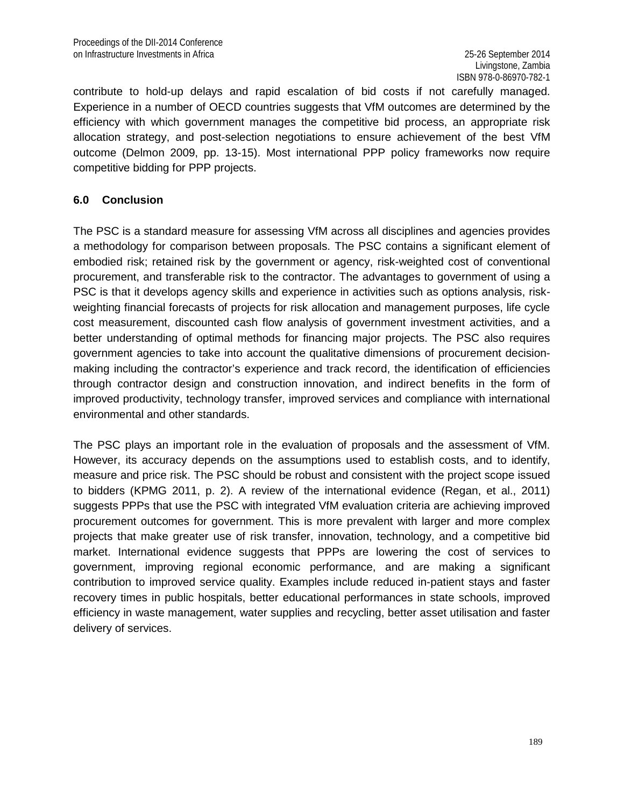contribute to hold-up delays and rapid escalation of bid costs if not carefully managed. Experience in a number of OECD countries suggests that VfM outcomes are determined by the efficiency with which government manages the competitive bid process, an appropriate risk allocation strategy, and post-selection negotiations to ensure achievement of the best VfM outcome (Delmon 2009, pp. 13-15). Most international PPP policy frameworks now require competitive bidding for PPP projects.

#### **6.0 Conclusion**

The PSC is a standard measure for assessing VfM across all disciplines and agencies provides a methodology for comparison between proposals. The PSC contains a significant element of embodied risk; retained risk by the government or agency, risk-weighted cost of conventional procurement, and transferable risk to the contractor. The advantages to government of using a PSC is that it develops agency skills and experience in activities such as options analysis, riskweighting financial forecasts of projects for risk allocation and management purposes, life cycle cost measurement, discounted cash flow analysis of government investment activities, and a better understanding of optimal methods for financing major projects. The PSC also requires government agencies to take into account the qualitative dimensions of procurement decisionmaking including the contractor's experience and track record, the identification of efficiencies through contractor design and construction innovation, and indirect benefits in the form of improved productivity, technology transfer, improved services and compliance with international environmental and other standards.

The PSC plays an important role in the evaluation of proposals and the assessment of VfM. However, its accuracy depends on the assumptions used to establish costs, and to identify, measure and price risk. The PSC should be robust and consistent with the project scope issued to bidders (KPMG 2011, p. 2). A review of the international evidence (Regan, et al., 2011) suggests PPPs that use the PSC with integrated VfM evaluation criteria are achieving improved procurement outcomes for government. This is more prevalent with larger and more complex projects that make greater use of risk transfer, innovation, technology, and a competitive bid market. International evidence suggests that PPPs are lowering the cost of services to government, improving regional economic performance, and are making a significant contribution to improved service quality. Examples include reduced in-patient stays and faster recovery times in public hospitals, better educational performances in state schools, improved efficiency in waste management, water supplies and recycling, better asset utilisation and faster delivery of services.